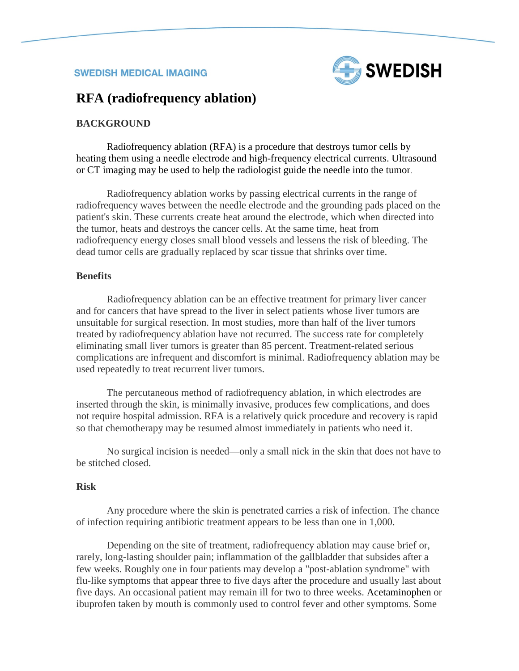

# **RFA (radiofrequency ablation)**

#### **BACKGROUND**

Radiofrequency ablation (RFA) is a procedure that destroys tumor cells by heating them using a needle electrode and high-frequency electrical currents. Ultrasound or CT imaging may be used to help the radiologist guide the needle into the tumor.

Radiofrequency ablation works by passing electrical currents in the range of radiofrequency waves between the needle electrode and the grounding pads placed on the patient's skin. These currents create heat around the electrode, which when directed into the tumor, heats and destroys the cancer cells. At the same time, heat from radiofrequency energy closes small blood vessels and lessens the risk of bleeding. The dead tumor cells are gradually replaced by scar tissue that shrinks over time.

#### **Benefits**

Radiofrequency ablation can be an effective treatment for primary liver cancer and for cancers that have spread to the liver in select patients whose liver tumors are unsuitable for surgical resection. In most studies, more than half of the liver tumors treated by radiofrequency ablation have not recurred. The success rate for completely eliminating small liver tumors is greater than 85 percent. Treatment-related serious complications are infrequent and discomfort is minimal. Radiofrequency ablation may be used repeatedly to treat recurrent liver tumors.

The percutaneous method of radiofrequency ablation, in which electrodes are inserted through the skin, is minimally invasive, produces few complications, and does not require hospital admission. RFA is a relatively quick procedure and recovery is rapid so that chemotherapy may be resumed almost immediately in patients who need it.

No surgical incision is needed—only a small nick in the skin that does not have to be stitched closed.

#### **Risk**

Any procedure where the skin is penetrated carries a risk of infection. The chance of infection requiring antibiotic treatment appears to be less than one in 1,000.

Depending on the site of treatment, radiofrequency ablation may cause brief or, rarely, long-lasting shoulder pain; inflammation of the gallbladder that subsides after a few weeks. Roughly one in four patients may develop a "post-ablation syndrome" with flu-like symptoms that appear three to five days after the procedure and usually last about five days. An occasional patient may remain ill for two to three weeks. [Acetaminophen](http://www.radiologyinfo.org/en/glossary/glossary1.cfm?gid=758) or ibuprofen taken by mouth is commonly used to control fever and other symptoms. Some